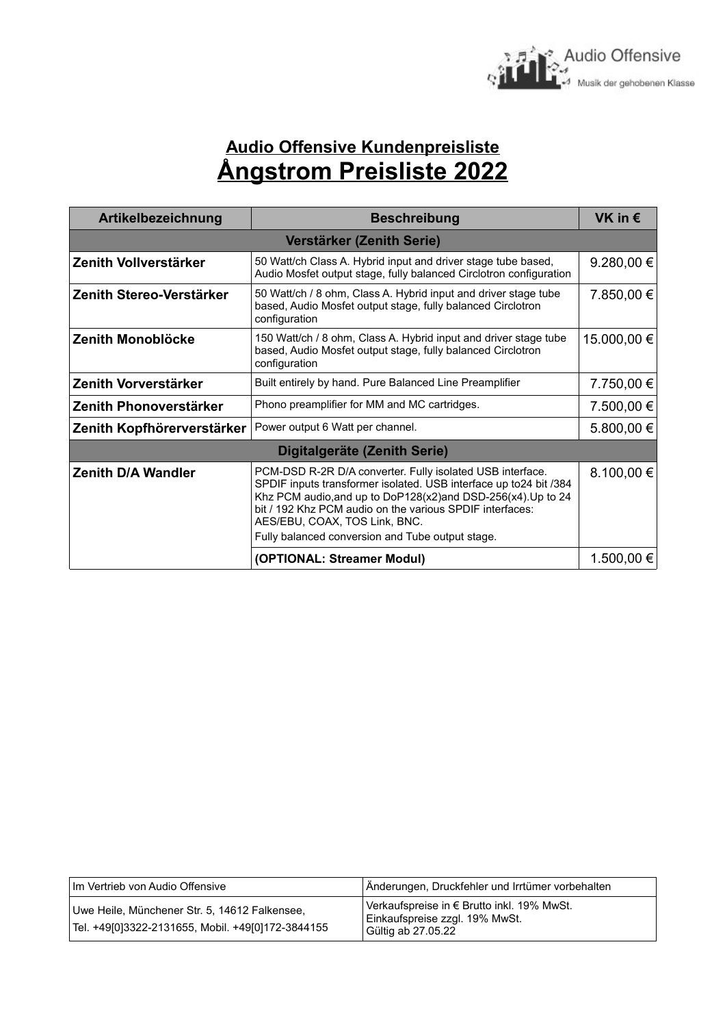

## **Audio Offensive Kundenpreisliste Ångstrom Preisliste 2022**

| Artikelbezeichnung           | <b>Beschreibung</b>                                                                                                                                                                                                                                                                                                                              | VK in $\epsilon$ |  |
|------------------------------|--------------------------------------------------------------------------------------------------------------------------------------------------------------------------------------------------------------------------------------------------------------------------------------------------------------------------------------------------|------------------|--|
| Verstärker (Zenith Serie)    |                                                                                                                                                                                                                                                                                                                                                  |                  |  |
| Zenith Vollverstärker        | 50 Watt/ch Class A. Hybrid input and driver stage tube based,<br>Audio Mosfet output stage, fully balanced Circlotron configuration                                                                                                                                                                                                              | 9.280,00 €       |  |
| Zenith Stereo-Verstärker     | 50 Watt/ch / 8 ohm, Class A. Hybrid input and driver stage tube<br>based, Audio Mosfet output stage, fully balanced Circlotron<br>configuration                                                                                                                                                                                                  | 7.850,00 €       |  |
| Zenith Monoblöcke            | 150 Watt/ch / 8 ohm, Class A. Hybrid input and driver stage tube<br>based, Audio Mosfet output stage, fully balanced Circlotron<br>configuration                                                                                                                                                                                                 | 15.000,00 €      |  |
| Zenith Vorverstärker         | Built entirely by hand. Pure Balanced Line Preamplifier                                                                                                                                                                                                                                                                                          | 7.750,00 €       |  |
| Zenith Phonoverstärker       | Phono preamplifier for MM and MC cartridges.                                                                                                                                                                                                                                                                                                     | 7.500,00 €       |  |
| Zenith Kopfhörerverstärker   | Power output 6 Watt per channel.                                                                                                                                                                                                                                                                                                                 | 5.800,00 €       |  |
| Digitalgeräte (Zenith Serie) |                                                                                                                                                                                                                                                                                                                                                  |                  |  |
| <b>Zenith D/A Wandler</b>    | PCM-DSD R-2R D/A converter. Fully isolated USB interface.<br>SPDIF inputs transformer isolated. USB interface up to24 bit /384<br>Khz PCM audio, and up to DoP128(x2) and DSD-256(x4). Up to 24<br>bit / 192 Khz PCM audio on the various SPDIF interfaces:<br>AES/EBU, COAX, TOS Link, BNC.<br>Fully balanced conversion and Tube output stage. | 8.100,00 €       |  |
|                              | (OPTIONAL: Streamer Modul)                                                                                                                                                                                                                                                                                                                       | 1.500,00 €       |  |

| l Im Vertrieb von Audio Offensive I                                                                  | Änderungen, Druckfehler und Irrtümer vorbehalten                                                   |
|------------------------------------------------------------------------------------------------------|----------------------------------------------------------------------------------------------------|
| Uwe Heile, Münchener Str. 5, 14612 Falkensee,<br>  Tel. +49[0]3322-2131655, Mobil. +49[0]172-3844155 | Verkaufspreise in € Brutto inkl. 19% MwSt.<br>Einkaufspreise zzgl. 19% MwSt.<br>Gültig ab 27.05.22 |